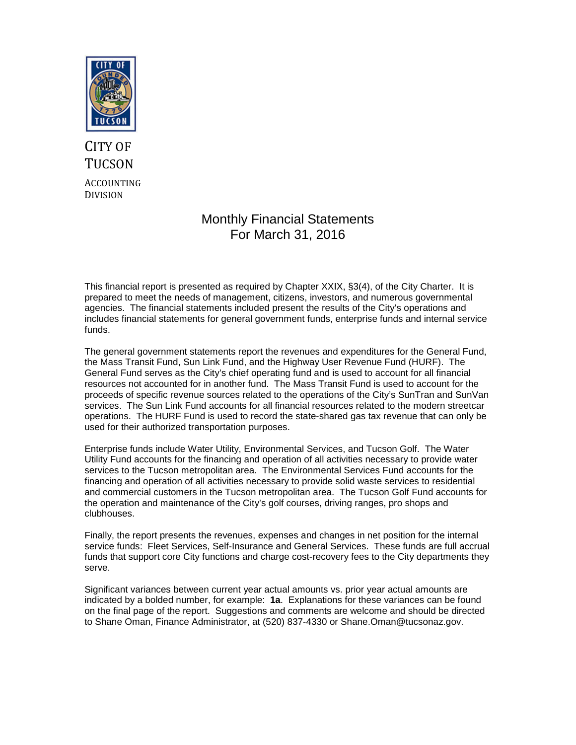

# CITY OF **TUCSON** ACCOUNTING DIVISION

## Monthly Financial Statements For March 31, 2016

This financial report is presented as required by Chapter XXIX, §3(4), of the City Charter. It is prepared to meet the needs of management, citizens, investors, and numerous governmental agencies. The financial statements included present the results of the City's operations and includes financial statements for general government funds, enterprise funds and internal service funds.

The general government statements report the revenues and expenditures for the General Fund, the Mass Transit Fund, Sun Link Fund, and the Highway User Revenue Fund (HURF). The General Fund serves as the City's chief operating fund and is used to account for all financial resources not accounted for in another fund. The Mass Transit Fund is used to account for the proceeds of specific revenue sources related to the operations of the City's SunTran and SunVan services. The Sun Link Fund accounts for all financial resources related to the modern streetcar operations. The HURF Fund is used to record the state-shared gas tax revenue that can only be used for their authorized transportation purposes.

Enterprise funds include Water Utility, Environmental Services, and Tucson Golf. The Water Utility Fund accounts for the financing and operation of all activities necessary to provide water services to the Tucson metropolitan area. The Environmental Services Fund accounts for the financing and operation of all activities necessary to provide solid waste services to residential and commercial customers in the Tucson metropolitan area. The Tucson Golf Fund accounts for the operation and maintenance of the City's golf courses, driving ranges, pro shops and clubhouses.

Finally, the report presents the revenues, expenses and changes in net position for the internal service funds: Fleet Services, Self-Insurance and General Services. These funds are full accrual funds that support core City functions and charge cost-recovery fees to the City departments they serve.

Significant variances between current year actual amounts vs. prior year actual amounts are indicated by a bolded number, for example: **1a**. Explanations for these variances can be found on the final page of the report. Suggestions and comments are welcome and should be directed to Shane Oman, Finance Administrator, at (520) 837-4330 or Shane.Oman@tucsonaz.gov.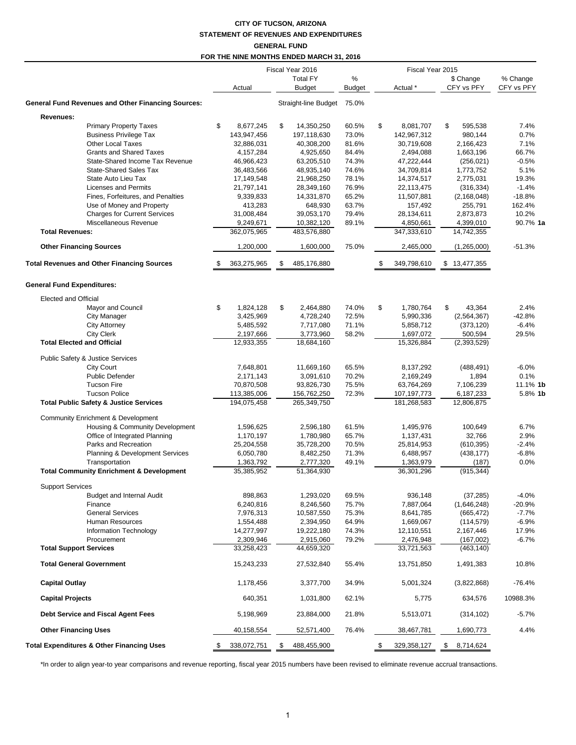#### **CITY OF TUCSON, ARIZONA STATEMENT OF REVENUES AND EXPENDITURES GENERAL FUND**

## **FOR THE NINE MONTHS ENDED MARCH 31, 2016**

|                                                           | Fiscal Year 2016 |             |    |                            |               | Fiscal Year 2015 |               |                 |            |
|-----------------------------------------------------------|------------------|-------------|----|----------------------------|---------------|------------------|---------------|-----------------|------------|
|                                                           |                  |             |    | <b>Total FY</b>            | %             |                  |               | \$ Change       | % Change   |
|                                                           |                  | Actual      |    | <b>Budget</b>              | <b>Budget</b> |                  | Actual *      | CFY vs PFY      | CFY vs PFY |
| <b>General Fund Revenues and Other Financing Sources:</b> |                  |             |    | Straight-line Budget 75.0% |               |                  |               |                 |            |
| Revenues:                                                 |                  |             |    |                            |               |                  |               |                 |            |
| Primary Property Taxes                                    | \$               | 8,677,245   | \$ | 14,350,250                 | 60.5%         | \$               | 8,081,707     | \$<br>595,538   | 7.4%       |
| <b>Business Privilege Tax</b>                             |                  | 143,947,456 |    | 197,118,630                | 73.0%         |                  | 142,967,312   | 980,144         | 0.7%       |
| <b>Other Local Taxes</b>                                  |                  | 32,886,031  |    | 40,308,200                 | 81.6%         |                  | 30,719,608    | 2,166,423       | 7.1%       |
| <b>Grants and Shared Taxes</b>                            |                  | 4,157,284   |    | 4,925,650                  | 84.4%         |                  | 2,494,088     | 1,663,196       | 66.7%      |
| State-Shared Income Tax Revenue                           |                  | 46,966,423  |    | 63,205,510                 | 74.3%         |                  | 47,222,444    | (256, 021)      | $-0.5%$    |
| <b>State-Shared Sales Tax</b>                             |                  | 36,483,566  |    | 48,935,140                 | 74.6%         |                  | 34,709,814    | 1,773,752       | 5.1%       |
| State Auto Lieu Tax                                       |                  | 17,149,548  |    | 21,968,250                 | 78.1%         |                  | 14,374,517    | 2,775,031       | 19.3%      |
| <b>Licenses and Permits</b>                               |                  | 21,797,141  |    | 28,349,160                 | 76.9%         |                  | 22,113,475    | (316, 334)      | $-1.4%$    |
| Fines, Forfeitures, and Penalties                         |                  | 9,339,833   |    | 14,331,870                 | 65.2%         |                  | 11,507,881    | (2, 168, 048)   | $-18.8%$   |
| Use of Money and Property                                 |                  | 413,283     |    | 648,930                    | 63.7%         |                  | 157,492       | 255,791         | 162.4%     |
| <b>Charges for Current Services</b>                       |                  | 31,008,484  |    | 39,053,170                 | 79.4%         |                  | 28,134,611    | 2,873,873       | 10.2%      |
| Miscellaneous Revenue                                     |                  | 9,249,671   |    | 10,382,120                 | 89.1%         |                  | 4,850,661     | 4,399,010       | 90.7% 1a   |
| <b>Total Revenues:</b>                                    |                  | 362,075,965 |    | 483,576,880                |               |                  | 347,333,610   | 14,742,355      |            |
|                                                           |                  |             |    |                            |               |                  |               |                 |            |
| <b>Other Financing Sources</b>                            |                  | 1,200,000   |    | 1,600,000                  | 75.0%         |                  | 2,465,000     | (1,265,000)     | $-51.3%$   |
| <b>Total Revenues and Other Financing Sources</b>         |                  | 363,275,965 | \$ | 485,176,880                |               | - \$             | 349,798,610   | \$13,477,355    |            |
| <b>General Fund Expenditures:</b>                         |                  |             |    |                            |               |                  |               |                 |            |
| <b>Elected and Official</b>                               |                  |             |    |                            |               |                  |               |                 |            |
| Mayor and Council                                         | \$               | 1,824,128   | \$ | 2,464,880                  | 74.0%         | \$               | 1,780,764     | \$<br>43,364    | 2.4%       |
| <b>City Manager</b>                                       |                  | 3,425,969   |    | 4,728,240                  | 72.5%         |                  | 5,990,336     | (2, 564, 367)   | $-42.8%$   |
| <b>City Attorney</b>                                      |                  | 5,485,592   |    | 7,717,080                  | 71.1%         |                  | 5,858,712     | (373, 120)      | $-6.4%$    |
| <b>City Clerk</b>                                         |                  | 2,197,666   |    | 3,773,960                  | 58.2%         |                  | 1,697,072     | 500,594         | 29.5%      |
| <b>Total Elected and Official</b>                         |                  | 12,933,355  |    | 18,684,160                 |               |                  | 15,326,884    | (2, 393, 529)   |            |
|                                                           |                  |             |    |                            |               |                  |               |                 |            |
| Public Safety & Justice Services                          |                  |             |    |                            |               |                  |               |                 |            |
| <b>City Court</b>                                         |                  | 7,648,801   |    | 11,669,160                 | 65.5%         |                  | 8,137,292     | (488, 491)      | $-6.0%$    |
| <b>Public Defender</b>                                    |                  | 2,171,143   |    | 3,091,610                  | 70.2%         |                  | 2,169,249     | 1,894           | 0.1%       |
| <b>Tucson Fire</b>                                        |                  | 70,870,508  |    | 93,826,730                 | 75.5%         |                  | 63,764,269    | 7,106,239       | 11.1% 1b   |
| <b>Tucson Police</b>                                      |                  | 113,385,006 |    | 156,762,250                | 72.3%         |                  | 107, 197, 773 | 6,187,233       | 5.8% 1b    |
| <b>Total Public Safety &amp; Justice Services</b>         |                  | 194,075,458 |    | 265,349,750                |               |                  | 181,268,583   | 12,806,875      |            |
| <b>Community Enrichment &amp; Development</b>             |                  |             |    |                            |               |                  |               |                 |            |
| Housing & Community Development                           |                  | 1,596,625   |    |                            | 61.5%         |                  | 1,495,976     | 100,649         | 6.7%       |
| Office of Integrated Planning                             |                  |             |    | 2,596,180                  |               |                  |               |                 |            |
|                                                           |                  | 1,170,197   |    | 1,780,980                  | 65.7%         |                  | 1,137,431     | 32,766          | 2.9%       |
| Parks and Recreation                                      |                  | 25,204,558  |    | 35,728,200                 | 70.5%         |                  | 25,814,953    | (610, 395)      | $-2.4%$    |
| Planning & Development Services                           |                  | 6,050,780   |    | 8,482,250                  | 71.3%         |                  | 6,488,957     | (438, 177)      | $-6.8%$    |
| Transportation                                            |                  | 1,363,792   |    | 2,777,320                  | 49.1%         |                  | 1,363,979     | (187)           | 0.0%       |
| <b>Total Community Enrichment &amp; Development</b>       |                  | 35,385,952  |    | 51,364,930                 |               |                  | 36,301,296    | (915, 344)      |            |
| <b>Support Services</b>                                   |                  |             |    |                            |               |                  |               |                 |            |
| <b>Budget and Internal Audit</b>                          |                  | 898,863     |    | 1,293,020                  | 69.5%         |                  | 936,148       | (37, 285)       | $-4.0%$    |
| Finance                                                   |                  | 6,240,816   |    | 8,246,560                  | 75.7%         |                  | 7,887,064     | (1,646,248)     | -20.9%     |
| <b>General Services</b>                                   |                  | 7,976,313   |    | 10,587,550                 | 75.3%         |                  | 8,641,785     | (665, 472)      | $-7.7%$    |
| Human Resources                                           |                  | 1,554,488   |    | 2,394,950                  | 64.9%         |                  | 1,669,067     | (114, 579)      | $-6.9%$    |
| Information Technology                                    |                  | 14,277,997  |    | 19,222,180                 | 74.3%         |                  | 12,110,551    | 2,167,446       | 17.9%      |
| Procurement                                               |                  | 2,309,946   |    | 2,915,060                  | 79.2%         |                  | 2,476,948     | (167,002)       | $-6.7%$    |
| <b>Total Support Services</b>                             |                  | 33,258,423  |    | 44,659,320                 |               |                  | 33,721,563    | (463, 140)      |            |
|                                                           |                  |             |    |                            |               |                  |               |                 |            |
| <b>Total General Government</b>                           |                  | 15,243,233  |    | 27,532,840                 | 55.4%         |                  | 13,751,850    | 1,491,383       | 10.8%      |
| <b>Capital Outlay</b>                                     |                  | 1,178,456   |    | 3,377,700                  | 34.9%         |                  | 5,001,324     | (3,822,868)     | $-76.4%$   |
| <b>Capital Projects</b>                                   |                  | 640,351     |    | 1,031,800                  | 62.1%         |                  | 5,775         | 634,576         | 10988.3%   |
| Debt Service and Fiscal Agent Fees                        |                  | 5,198,969   |    | 23,884,000                 | 21.8%         |                  | 5,513,071     | (314, 102)      | $-5.7%$    |
| <b>Other Financing Uses</b>                               |                  | 40,158,554  |    | 52,571,400                 | 76.4%         |                  | 38,467,781    | 1,690,773       | 4.4%       |
| <b>Total Expenditures &amp; Other Financing Uses</b>      | \$               | 338,072,751 | \$ | 488,455,900                |               | \$               | 329,358,127   | \$<br>8,714,624 |            |

\*In order to align year-to year comparisons and revenue reporting, fiscal year 2015 numbers have been revised to eliminate revenue accrual transactions.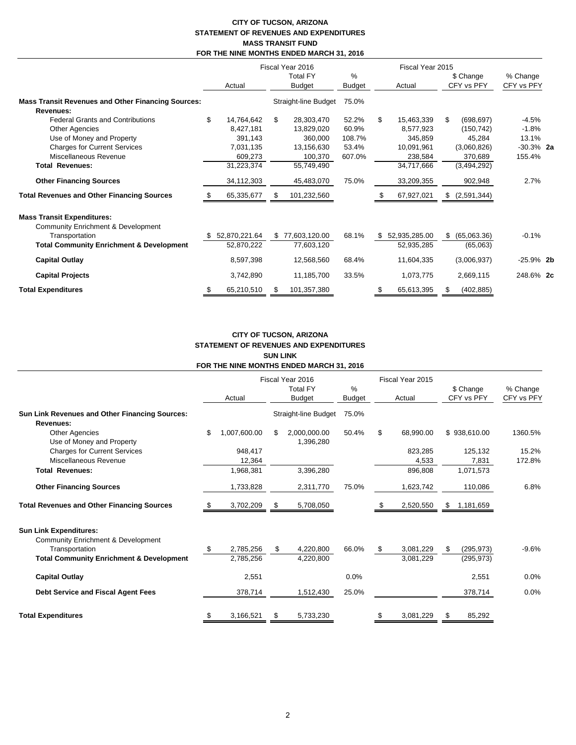#### **CITY OF TUCSON, ARIZONA STATEMENT OF REVENUES AND EXPENDITURES MASS TRANSIT FUND FOR THE NINE MONTHS ENDED MARCH 31, 2016**

|                                                                                                                                                                                                                           |                                                                                              |                                  | Fiscal Year 2016                                                                         |                                                      |        | Fiscal Year 2015                                                                        |                         |                                                                                        |                                                               |  |
|---------------------------------------------------------------------------------------------------------------------------------------------------------------------------------------------------------------------------|----------------------------------------------------------------------------------------------|----------------------------------|------------------------------------------------------------------------------------------|------------------------------------------------------|--------|-----------------------------------------------------------------------------------------|-------------------------|----------------------------------------------------------------------------------------|---------------------------------------------------------------|--|
|                                                                                                                                                                                                                           | Actual                                                                                       | <b>Total FY</b><br><b>Budget</b> |                                                                                          | $\%$<br><b>Budget</b>                                | Actual |                                                                                         | \$ Change<br>CFY vs PFY |                                                                                        | % Change<br>CFY vs PFY                                        |  |
| <b>Mass Transit Revenues and Other Financing Sources:</b><br>Revenues:                                                                                                                                                    |                                                                                              |                                  | Straight-line Budget                                                                     | 75.0%                                                |        |                                                                                         |                         |                                                                                        |                                                               |  |
| <b>Federal Grants and Contributions</b><br><b>Other Agencies</b><br>Use of Money and Property<br><b>Charges for Current Services</b><br>Miscellaneous Revenue<br><b>Total Revenues:</b><br><b>Other Financing Sources</b> | \$<br>14,764,642<br>8,427,181<br>391,143<br>7,031,135<br>609,273<br>31,223,374<br>34,112,303 | \$                               | 28,303,470<br>13,829,020<br>360,000<br>13,156,630<br>100,370<br>55,749,490<br>45,483,070 | 52.2%<br>60.9%<br>108.7%<br>53.4%<br>607.0%<br>75.0% | \$     | 15,463,339<br>8,577,923<br>345,859<br>10,091,961<br>238,584<br>34,717,666<br>33,209,355 | S.                      | (698, 697)<br>(150, 742)<br>45,284<br>(3,060,826)<br>370,689<br>(3,494,292)<br>902,948 | $-4.5%$<br>$-1.8%$<br>13.1%<br>$-30.3\%$ 2a<br>155.4%<br>2.7% |  |
| <b>Total Revenues and Other Financing Sources</b>                                                                                                                                                                         | 65,335,677                                                                                   |                                  | 101,232,560                                                                              |                                                      |        | 67,927,021                                                                              |                         | (2,591,344)                                                                            |                                                               |  |
| <b>Mass Transit Expenditures:</b><br><b>Community Enrichment &amp; Development</b><br>Transportation<br><b>Total Community Enrichment &amp; Development</b>                                                               | 52,870,221.64<br>52,870,222                                                                  |                                  | \$77,603,120.00<br>77,603,120                                                            | 68.1%                                                | \$.    | 52,935,285.00<br>52,935,285                                                             | S                       | (65,063.36)<br>(65,063)                                                                | $-0.1%$                                                       |  |
| <b>Capital Outlay</b>                                                                                                                                                                                                     | 8,597,398                                                                                    |                                  | 12,568,560                                                                               | 68.4%                                                |        | 11,604,335                                                                              |                         | (3,006,937)                                                                            | $-25.9\%$ 2b                                                  |  |
| <b>Capital Projects</b>                                                                                                                                                                                                   | 3,742,890                                                                                    |                                  | 11,185,700                                                                               | 33.5%                                                |        | 1,073,775                                                                               |                         | 2,669,115                                                                              | 248.6% 2c                                                     |  |
| <b>Total Expenditures</b>                                                                                                                                                                                                 | 65,210,510                                                                                   |                                  | 101,357,380                                                                              |                                                      |        | 65,613,395                                                                              |                         | (402, 885)                                                                             |                                                               |  |

#### **CITY OF TUCSON, ARIZONA STATEMENT OF REVENUES AND EXPENDITURES SUN LINK FOR THE NINE MONTHS ENDED MARCH 31, 2016**

|                                                             |                    | Fiscal Year 2016                 |                           |                       |    | Fiscal Year 2015 |     |                         |                        |
|-------------------------------------------------------------|--------------------|----------------------------------|---------------------------|-----------------------|----|------------------|-----|-------------------------|------------------------|
|                                                             | Actual             | <b>Total FY</b><br><b>Budget</b> |                           | $\%$<br><b>Budget</b> |    | Actual           |     | \$ Change<br>CFY vs PFY | % Change<br>CFY vs PFY |
| Sun Link Revenues and Other Financing Sources:<br>Revenues: |                    |                                  | Straight-line Budget      | 75.0%                 |    |                  |     |                         |                        |
| <b>Other Agencies</b><br>Use of Money and Property          | \$<br>1,007,600.00 |                                  | 2,000,000.00<br>1,396,280 | 50.4%                 | \$ | 68,990.00        |     | \$938,610.00            | 1360.5%                |
| <b>Charges for Current Services</b>                         | 948,417            |                                  |                           |                       |    | 823,285          |     | 125,132                 | 15.2%                  |
| Miscellaneous Revenue                                       | 12,364             |                                  |                           |                       |    | 4,533            |     | 7,831                   | 172.8%                 |
| <b>Total Revenues:</b>                                      | 1,968,381          |                                  | 3,396,280                 |                       |    | 896,808          |     | 1,071,573               |                        |
| <b>Other Financing Sources</b>                              | 1,733,828          |                                  | 2,311,770                 | 75.0%                 |    | 1,623,742        |     | 110,086                 | 6.8%                   |
| <b>Total Revenues and Other Financing Sources</b>           | 3,702,209          |                                  | 5,708,050                 |                       |    | 2,520,550        | SS. | 1,181,659               |                        |
| <b>Sun Link Expenditures:</b>                               |                    |                                  |                           |                       |    |                  |     |                         |                        |
| <b>Community Enrichment &amp; Development</b>               |                    |                                  |                           |                       |    |                  |     |                         |                        |
| Transportation                                              | 2,785,256          | \$.                              | 4,220,800                 | 66.0%                 | -S | 3,081,229        | S   | (295, 973)              | $-9.6%$                |
| <b>Total Community Enrichment &amp; Development</b>         | 2,785,256          |                                  | 4,220,800                 |                       |    | 3,081,229        |     | (295, 973)              |                        |
| <b>Capital Outlay</b>                                       | 2,551              |                                  |                           | 0.0%                  |    |                  |     | 2,551                   | 0.0%                   |
| Debt Service and Fiscal Agent Fees                          | 378,714            |                                  | 1,512,430                 | 25.0%                 |    |                  |     | 378,714                 | 0.0%                   |
| <b>Total Expenditures</b>                                   | \$<br>3,166,521    | \$                               | 5,733,230                 |                       | \$ | 3,081,229        | \$  | 85,292                  |                        |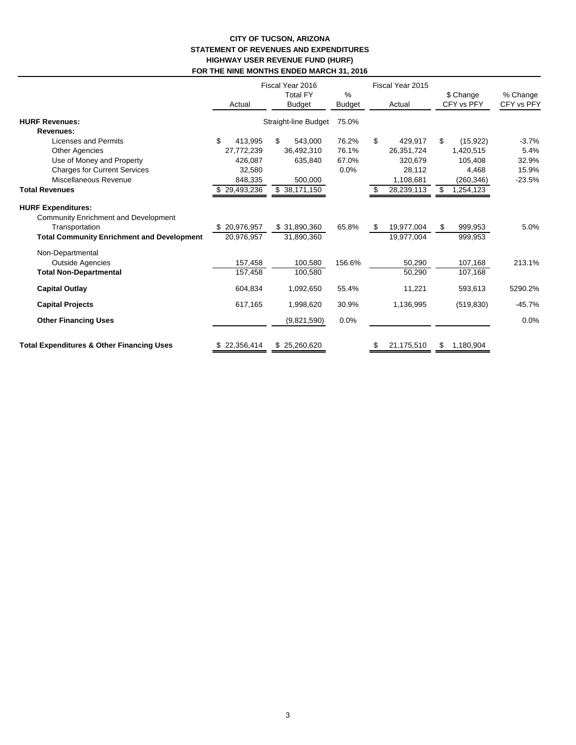#### **CITY OF TUCSON, ARIZONA STATEMENT OF REVENUES AND EXPENDITURES HIGHWAY USER REVENUE FUND (HURF) FOR THE NINE MONTHS ENDED MARCH 31, 2016**

|                                                                                                                                                 | Actual                     | Fiscal Year 2016<br><b>Total FY</b><br><b>Budget</b> | %<br><b>Budget</b> | Fiscal Year 2015<br>Actual     | \$ Change<br>CFY vs PFY  | % Change<br>CFY vs PFY |
|-------------------------------------------------------------------------------------------------------------------------------------------------|----------------------------|------------------------------------------------------|--------------------|--------------------------------|--------------------------|------------------------|
| <b>HURF Revenues:</b>                                                                                                                           |                            | Straight-line Budget                                 | 75.0%              |                                |                          |                        |
| Revenues:                                                                                                                                       |                            |                                                      |                    |                                |                          |                        |
| <b>Licenses and Permits</b>                                                                                                                     | \$<br>413.995              | \$<br>543.000                                        | 76.2%              | \$<br>429,917                  | \$<br>(15, 922)          | $-3.7%$                |
| <b>Other Agencies</b>                                                                                                                           | 27,772,239                 | 36,492,310                                           | 76.1%              | 26,351,724                     | 1,420,515                | 5.4%                   |
| Use of Money and Property                                                                                                                       | 426,087                    | 635,840                                              | 67.0%              | 320,679                        | 105,408                  | 32.9%                  |
| <b>Charges for Current Services</b>                                                                                                             | 32,580                     |                                                      | 0.0%               | 28,112                         | 4,468                    | 15.9%                  |
| Miscellaneous Revenue                                                                                                                           | 848,335                    | 500,000                                              |                    | 1,108,681                      | (260, 346)               | $-23.5%$               |
| <b>Total Revenues</b>                                                                                                                           | \$29,493,236               | \$38,171,150                                         |                    | 28,239,113<br>\$               | \$<br>1,254,123          |                        |
| <b>HURF Expenditures:</b><br><b>Community Enrichment and Development</b><br>Transportation<br><b>Total Community Enrichment and Development</b> | \$20,976,957<br>20,976,957 | \$31,890,360<br>31,890,360                           | 65.8%              | 19,977,004<br>\$<br>19,977,004 | \$<br>999,953<br>999,953 | 5.0%                   |
| Non-Departmental<br><b>Outside Agencies</b>                                                                                                     | 157,458                    | 100,580                                              | 156.6%             | 50,290                         | 107,168                  | 213.1%                 |
| <b>Total Non-Departmental</b>                                                                                                                   | 157,458                    | 100,580                                              |                    | 50,290                         | 107,168                  |                        |
| <b>Capital Outlay</b>                                                                                                                           | 604,834                    | 1,092,650                                            | 55.4%              | 11,221                         | 593,613                  | 5290.2%                |
| <b>Capital Projects</b>                                                                                                                         | 617,165                    | 1,998,620                                            | 30.9%              | 1,136,995                      | (519, 830)               | $-45.7%$               |
| <b>Other Financing Uses</b>                                                                                                                     |                            | (9,821,590)                                          | 0.0%               |                                |                          | 0.0%                   |
| <b>Total Expenditures &amp; Other Financing Uses</b>                                                                                            | \$22,356,414               | \$25,260,620                                         |                    | 21,175,510<br>S                | 1,180,904<br>S           |                        |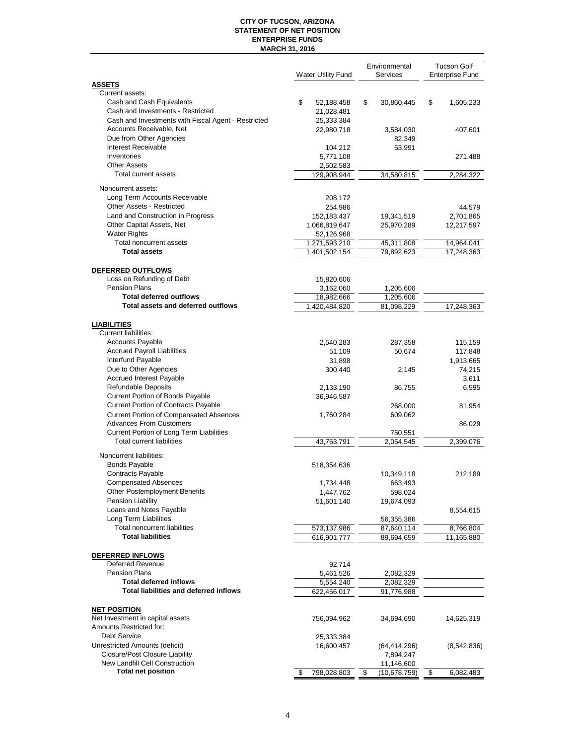#### **CITY OF TUCSON, ARIZONA STATEMENT OF NET POSITION ENTERPRISE FUNDS MARCH 31, 2016**

|                                                                         | <b>Water Utility Fund</b> | Environmental<br>Services | <b>Tucson Golf</b><br><b>Enterprise Fund</b> |
|-------------------------------------------------------------------------|---------------------------|---------------------------|----------------------------------------------|
| <b>ASSETS</b>                                                           |                           |                           |                                              |
| Current assets:                                                         |                           |                           |                                              |
| Cash and Cash Equivalents<br>Cash and Investments - Restricted          | \$<br>52,188,458          | \$<br>30,860,445          | \$<br>1,605,233                              |
| Cash and Investments with Fiscal Agent - Restricted                     | 21,028,481<br>25,333,384  |                           |                                              |
| Accounts Receivable, Net                                                | 22,980,718                | 3,584,030                 | 407,601                                      |
| Due from Other Agencies                                                 |                           | 82,349                    |                                              |
| Interest Receivable                                                     | 104,212                   | 53,991                    |                                              |
| Inventories                                                             | 5,771,108                 |                           | 271,488                                      |
| <b>Other Assets</b>                                                     | 2,502,583                 |                           |                                              |
| Total current assets                                                    | 129,908,944               | 34,580,815                | 2,284,322                                    |
| Noncurrent assets:                                                      |                           |                           |                                              |
| Long Term Accounts Receivable                                           | 208,172                   |                           |                                              |
| Other Assets - Restricted                                               | 254,986                   |                           | 44,579                                       |
| Land and Construction in Progress                                       | 152,183,437               | 19,341,519                | 2,701,865                                    |
| Other Capital Assets, Net                                               | 1,066,819,647             | 25,970,289                | 12,217,597                                   |
| <b>Water Rights</b>                                                     | 52,126,968                |                           |                                              |
| Total noncurrent assets                                                 | 1,271,593,210             | 45,311,808                | 14,964,041                                   |
| <b>Total assets</b>                                                     | 1,401,502,154             | 79,892,623                | 17,248,363                                   |
| DEFERRED OUTFLOWS                                                       |                           |                           |                                              |
| Loss on Refunding of Debt                                               | 15,820,606                |                           |                                              |
| <b>Pension Plans</b>                                                    | 3,162,060                 | 1,205,606                 |                                              |
| <b>Total deferred outflows</b>                                          | 18,982,666                | 1,205,606                 |                                              |
| Total assets and deferred outflows                                      | 1,420,484,820             | 81,098,229                | 17,248,363                                   |
|                                                                         |                           |                           |                                              |
| <b>LIABILITIES</b>                                                      |                           |                           |                                              |
| Current liabilities:                                                    |                           |                           |                                              |
| <b>Accounts Payable</b>                                                 | 2,540,283                 | 287,358                   | 115,159                                      |
| <b>Accrued Payroll Liabilities</b>                                      | 51,109                    | 50,674                    | 117,848                                      |
| Interfund Payable                                                       | 31,898                    |                           | 1,913,665                                    |
| Due to Other Agencies<br>Accrued Interest Payable                       | 300,440                   | 2,145                     | 74,215                                       |
| Refundable Deposits                                                     |                           |                           | 3,611                                        |
| Current Portion of Bonds Payable                                        | 2,133,190<br>36,946,587   | 86,755                    | 6,595                                        |
| <b>Current Portion of Contracts Payable</b>                             |                           | 268,000                   | 81,954                                       |
| <b>Current Portion of Compensated Absences</b>                          | 1,760,284                 | 609,062                   |                                              |
| <b>Advances From Customers</b>                                          |                           |                           | 86,029                                       |
| Current Portion of Long Term Liabilities                                |                           | 750,551                   |                                              |
| Total current liabilities                                               | 43,763,791                | 2,054,545                 | 2,399,076                                    |
| Noncurrent liabilities:                                                 |                           |                           |                                              |
| <b>Bonds Payable</b>                                                    | 518,354,636               |                           |                                              |
| <b>Contracts Payable</b>                                                |                           | 10,349,118                | 212,189                                      |
| <b>Compensated Absences</b>                                             | 1,734,448                 | 663,493                   |                                              |
| Other Postemployment Benefits                                           | 1,447,762                 | 598,024                   |                                              |
| Pension Liability                                                       | 51,601,140                | 19,674,093                |                                              |
| Loans and Notes Payable                                                 |                           |                           | 8,554,615                                    |
| Long Term Liabilities                                                   |                           | 56,355,386                |                                              |
| Total noncurrent liabilities                                            | 573,137,986               | 87,640,114                | 8,766,804                                    |
| <b>Total liabilities</b>                                                | 616,901,777               | 89,694,659                | 11,165,880                                   |
| DEFERRED INFLOWS                                                        |                           |                           |                                              |
| <b>Deferred Revenue</b>                                                 | 92,714                    |                           |                                              |
| <b>Pension Plans</b>                                                    | 5,461,526                 | 2,082,329                 |                                              |
| <b>Total deferred inflows</b>                                           | 5,554,240                 | 2,082,329                 |                                              |
| <b>Total liabilities and deferred inflows</b>                           | 622,456,017               | 91,776,988                |                                              |
|                                                                         |                           |                           |                                              |
| <b>NET POSITION</b>                                                     |                           |                           |                                              |
| Net Investment in capital assets                                        | 756,094,962               | 34,694,690                | 14,625,319                                   |
| Amounts Restricted for:                                                 |                           |                           |                                              |
| <b>Debt Service</b>                                                     | 25,333,384                |                           |                                              |
| Unrestricted Amounts (deficit)<br><b>Closure/Post Closure Liability</b> | 16,600,457                | (64,414,296)              | (8,542,836)                                  |
| New Landfill Cell Construction                                          |                           | 7,894,247<br>11,146,600   |                                              |
| <b>Total net position</b>                                               | \$<br>798,028,803         | (10, 678, 759)<br>\$      | \$<br>6,082,483                              |
|                                                                         |                           |                           |                                              |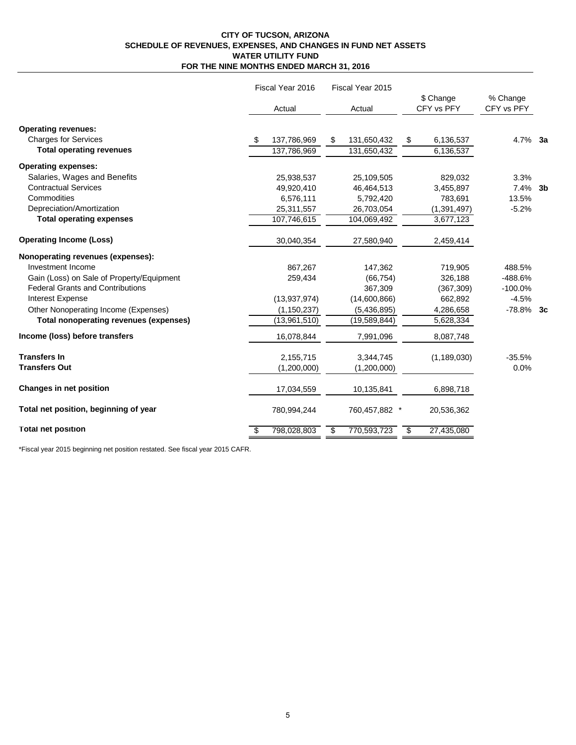#### **CITY OF TUCSON, ARIZONA SCHEDULE OF REVENUES, EXPENSES, AND CHANGES IN FUND NET ASSETS WATER UTILITY FUND FOR THE NINE MONTHS ENDED MARCH 31, 2016**

|                                           | Fiscal Year 2016   | Fiscal Year 2015  |                         |                        |  |
|-------------------------------------------|--------------------|-------------------|-------------------------|------------------------|--|
|                                           | Actual             | Actual            | \$ Change<br>CFY vs PFY | % Change<br>CFY vs PFY |  |
| <b>Operating revenues:</b>                |                    |                   |                         |                        |  |
| <b>Charges for Services</b>               | 137,786,969<br>\$. | \$<br>131,650,432 | \$<br>6,136,537         | $4.7\%$ 3a             |  |
| <b>Total operating revenues</b>           | 137,786,969        | 131,650,432       | 6,136,537               |                        |  |
| <b>Operating expenses:</b>                |                    |                   |                         |                        |  |
| Salaries, Wages and Benefits              | 25,938,537         | 25,109,505        | 829,032                 | 3.3%                   |  |
| <b>Contractual Services</b>               | 49,920,410         | 46.464,513        | 3,455,897               | $7.4\%$ 3b             |  |
| Commodities                               | 6,576,111          | 5,792,420         | 783,691                 | 13.5%                  |  |
| Depreciation/Amortization                 | 25,311,557         | 26,703,054        | (1, 391, 497)           | $-5.2%$                |  |
| <b>Total operating expenses</b>           | 107,746,615        | 104,069,492       | 3,677,123               |                        |  |
| <b>Operating Income (Loss)</b>            | 30,040,354         | 27,580,940        | 2,459,414               |                        |  |
| Nonoperating revenues (expenses):         |                    |                   |                         |                        |  |
| Investment Income                         | 867,267            | 147,362           | 719,905                 | 488.5%                 |  |
| Gain (Loss) on Sale of Property/Equipment | 259,434            | (66, 754)         | 326,188                 | $-488.6%$              |  |
| <b>Federal Grants and Contributions</b>   |                    | 367,309           | (367, 309)              | $-100.0%$              |  |
| Interest Expense                          | (13, 937, 974)     | (14,600,866)      | 662,892                 | $-4.5%$                |  |
| Other Nonoperating Income (Expenses)      | (1, 150, 237)      | (5,436,895)       | 4,286,658               | $-78.8\%$ 3c           |  |
| Total nonoperating revenues (expenses)    | (13,961,510)       | (19,589,844)      | 5,628,334               |                        |  |
| Income (loss) before transfers            | 16,078,844         | 7,991,096         | 8,087,748               |                        |  |
| <b>Transfers In</b>                       | 2,155,715          | 3,344,745         | (1, 189, 030)           | $-35.5%$               |  |
| <b>Transfers Out</b>                      | (1,200,000)        | (1,200,000)       |                         | 0.0%                   |  |
| Changes in net position                   | 17,034,559         | 10,135,841        | 6,898,718               |                        |  |
| Total net position, beginning of year     | 780,994,244        | 760,457,882 *     | 20,536,362              |                        |  |
| <b>Total net position</b>                 | 798,028,803<br>\$  | \$<br>770,593,723 | 27,435,080<br>\$        |                        |  |

\*Fiscal year 2015 beginning net position restated. See fiscal year 2015 CAFR.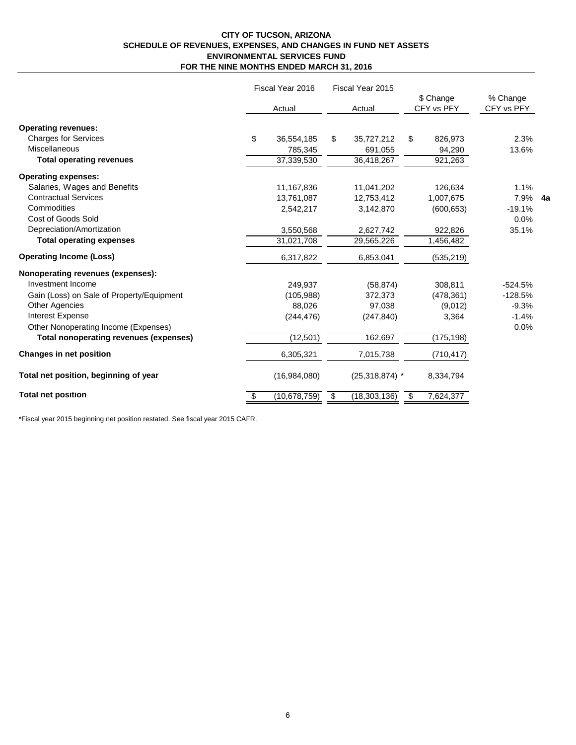#### **CITY OF TUCSON, ARIZONA SCHEDULE OF REVENUES, EXPENSES, AND CHANGES IN FUND NET ASSETS ENVIRONMENTAL SERVICES FUND FOR THE NINE MONTHS ENDED MARCH 31, 2016**

|                                           | Fiscal Year 2016 |                | Fiscal Year 2015     |                         |            |                        |  |
|-------------------------------------------|------------------|----------------|----------------------|-------------------------|------------|------------------------|--|
|                                           |                  | Actual         | Actual               | \$ Change<br>CFY vs PFY |            | % Change<br>CFY vs PFY |  |
| <b>Operating revenues:</b>                |                  |                |                      |                         |            |                        |  |
| <b>Charges for Services</b>               | \$               | 36,554,185     | \$<br>35,727,212     | \$                      | 826,973    | 2.3%                   |  |
| Miscellaneous                             |                  | 785,345        | 691,055              |                         | 94,290     | 13.6%                  |  |
| <b>Total operating revenues</b>           |                  | 37,339,530     | 36,418,267           |                         | 921,263    |                        |  |
| <b>Operating expenses:</b>                |                  |                |                      |                         |            |                        |  |
| Salaries, Wages and Benefits              |                  | 11,167,836     | 11,041,202           |                         | 126,634    | 1.1%                   |  |
| <b>Contractual Services</b>               |                  | 13,761,087     | 12,753,412           |                         | 1,007,675  | 7.9% 4a                |  |
| Commodities                               |                  | 2,542,217      | 3,142,870            |                         | (600, 653) | $-19.1%$               |  |
| Cost of Goods Sold                        |                  |                |                      |                         |            | 0.0%                   |  |
| Depreciation/Amortization                 |                  | 3,550,568      | 2,627,742            |                         | 922,826    | 35.1%                  |  |
| <b>Total operating expenses</b>           |                  | 31,021,708     | 29,565,226           |                         | 1,456,482  |                        |  |
| <b>Operating Income (Loss)</b>            |                  | 6,317,822      | 6,853,041            |                         | (535, 219) |                        |  |
| Nonoperating revenues (expenses):         |                  |                |                      |                         |            |                        |  |
| Investment Income                         |                  | 249,937        | (58, 874)            |                         | 308,811    | $-524.5%$              |  |
| Gain (Loss) on Sale of Property/Equipment |                  | (105,988)      | 372,373              |                         | (478, 361) | $-128.5%$              |  |
| <b>Other Agencies</b>                     |                  | 88.026         | 97,038               |                         | (9,012)    | $-9.3%$                |  |
| <b>Interest Expense</b>                   |                  | (244, 476)     | (247, 840)           |                         | 3,364      | $-1.4%$                |  |
| Other Nonoperating Income (Expenses)      |                  |                |                      |                         |            | 0.0%                   |  |
| Total nonoperating revenues (expenses)    |                  | (12, 501)      | 162,697              |                         | (175, 198) |                        |  |
| <b>Changes in net position</b>            |                  | 6,305,321      | 7,015,738            |                         | (710, 417) |                        |  |
| Total net position, beginning of year     |                  | (16,984,080)   | $(25,318,874)$ *     |                         | 8,334,794  |                        |  |
| <b>Total net position</b>                 | \$               | (10, 678, 759) | \$<br>(18, 303, 136) | \$                      | 7,624,377  |                        |  |

\*Fiscal year 2015 beginning net position restated. See fiscal year 2015 CAFR.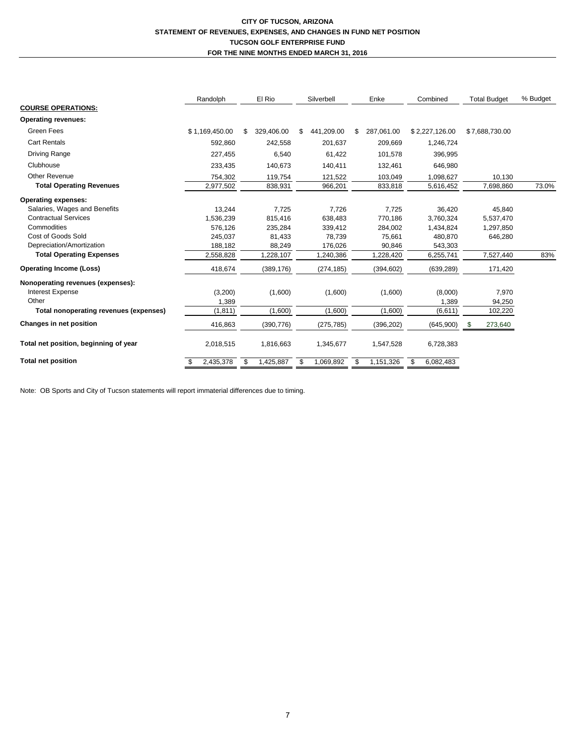#### **CITY OF TUCSON, ARIZONA STATEMENT OF REVENUES, EXPENSES, AND CHANGES IN FUND NET POSITION TUCSON GOLF ENTERPRISE FUND FOR THE NINE MONTHS ENDED MARCH 31, 2016**

|                                        | Randolph       | El Rio           | Silverbell |            | Enke |            | Combined |                |      | <b>Total Budget</b> | % Budget |
|----------------------------------------|----------------|------------------|------------|------------|------|------------|----------|----------------|------|---------------------|----------|
| <b>COURSE OPERATIONS:</b>              |                |                  |            |            |      |            |          |                |      |                     |          |
| <b>Operating revenues:</b>             |                |                  |            |            |      |            |          |                |      |                     |          |
| Green Fees                             | \$1,169,450.00 | \$<br>329,406.00 | \$         | 441,209.00 | \$   | 287,061.00 |          | \$2,227,126.00 |      | \$7,688,730.00      |          |
| <b>Cart Rentals</b>                    | 592,860        | 242,558          |            | 201,637    |      | 209,669    |          | 1,246,724      |      |                     |          |
| Driving Range                          | 227,455        | 6,540            |            | 61,422     |      | 101,578    |          | 396,995        |      |                     |          |
| Clubhouse                              | 233,435        | 140,673          |            | 140,411    |      | 132,461    |          | 646,980        |      |                     |          |
| Other Revenue                          | 754,302        | 119,754          |            | 121,522    |      | 103,049    |          | 1,098,627      |      | 10,130              |          |
| <b>Total Operating Revenues</b>        | 2,977,502      | 838,931          |            | 966,201    |      | 833,818    |          | 5,616,452      |      | 7,698,860           | 73.0%    |
| <b>Operating expenses:</b>             |                |                  |            |            |      |            |          |                |      |                     |          |
| Salaries, Wages and Benefits           | 13.244         | 7.725            |            | 7,726      |      | 7,725      |          | 36,420         |      | 45,840              |          |
| <b>Contractual Services</b>            | 1,536,239      | 815,416          |            | 638,483    |      | 770,186    |          | 3,760,324      |      | 5,537,470           |          |
| Commodities                            | 576.126        | 235,284          |            | 339,412    |      | 284,002    |          | 1,434,824      |      | 1,297,850           |          |
| Cost of Goods Sold                     | 245,037        | 81,433           |            | 78,739     |      | 75,661     |          | 480,870        |      | 646,280             |          |
| Depreciation/Amortization              | 188,182        | 88,249           |            | 176,026    |      | 90,846     |          | 543,303        |      |                     |          |
| <b>Total Operating Expenses</b>        | 2,558,828      | 1,228,107        |            | 1,240,386  |      | 1,228,420  |          | 6,255,741      |      | 7,527,440           | 83%      |
| <b>Operating Income (Loss)</b>         | 418,674        | (389, 176)       |            | (274, 185) |      | (394, 602) |          | (639, 289)     |      | 171,420             |          |
| Nonoperating revenues (expenses):      |                |                  |            |            |      |            |          |                |      |                     |          |
| <b>Interest Expense</b>                | (3,200)        | (1,600)          |            | (1,600)    |      | (1,600)    |          | (8,000)        |      | 7,970               |          |
| Other                                  | 1,389          |                  |            |            |      |            |          | 1,389          |      | 94,250              |          |
| Total nonoperating revenues (expenses) | (1, 811)       | (1,600)          |            | (1,600)    |      | (1,600)    |          | (6,611)        |      | 102,220             |          |
| Changes in net position                | 416,863        | (390, 776)       |            | (275, 785) |      | (396, 202) |          | (645,900)      | - \$ | 273,640             |          |
| Total net position, beginning of year  | 2,018,515      | 1,816,663        |            | 1,345,677  |      | 1,547,528  |          | 6,728,383      |      |                     |          |
| <b>Total net position</b>              | 2,435,378      | \$<br>1,425,887  | \$         | 1,069,892  | \$   | 1,151,326  |          | 6,082,483      |      |                     |          |

Note: OB Sports and City of Tucson statements will report immaterial differences due to timing.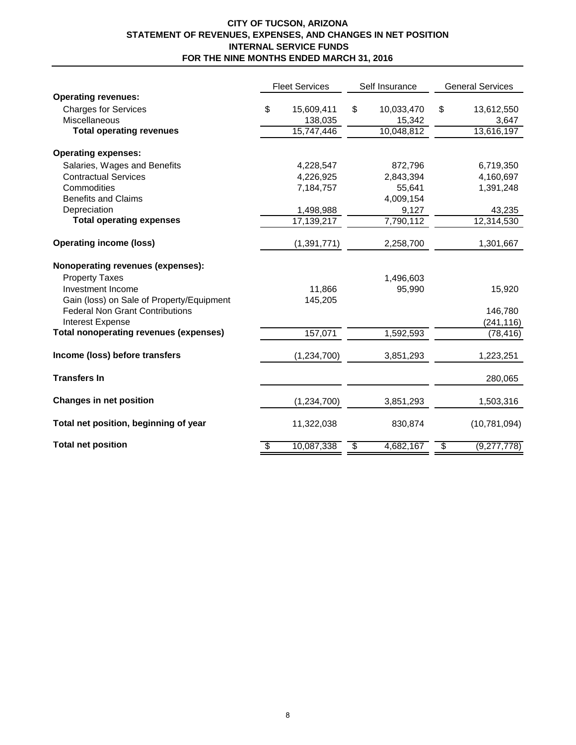## **CITY OF TUCSON, ARIZONA STATEMENT OF REVENUES, EXPENSES, AND CHANGES IN NET POSITION INTERNAL SERVICE FUNDS FOR THE NINE MONTHS ENDED MARCH 31, 2016**

|                                               | <b>Fleet Services</b>   |               |                          | Self Insurance | <b>General Services</b>  |                |  |
|-----------------------------------------------|-------------------------|---------------|--------------------------|----------------|--------------------------|----------------|--|
| <b>Operating revenues:</b>                    |                         |               |                          |                |                          |                |  |
| <b>Charges for Services</b>                   | \$                      | 15,609,411    | \$                       | 10,033,470     | \$                       | 13,612,550     |  |
| <b>Miscellaneous</b>                          |                         | 138,035       |                          | 15,342         |                          | 3,647          |  |
| <b>Total operating revenues</b>               |                         | 15,747,446    |                          | 10,048,812     |                          | 13,616,197     |  |
| <b>Operating expenses:</b>                    |                         |               |                          |                |                          |                |  |
| Salaries, Wages and Benefits                  |                         | 4,228,547     |                          | 872,796        |                          | 6,719,350      |  |
| <b>Contractual Services</b>                   |                         | 4,226,925     |                          | 2,843,394      |                          | 4,160,697      |  |
| Commodities                                   |                         | 7,184,757     |                          | 55,641         |                          | 1,391,248      |  |
| <b>Benefits and Claims</b>                    |                         |               |                          | 4,009,154      |                          |                |  |
| Depreciation                                  |                         | 1,498,988     |                          | 9,127          |                          | 43,235         |  |
| <b>Total operating expenses</b>               |                         | 17,139,217    |                          | 7,790,112      |                          | 12,314,530     |  |
| <b>Operating income (loss)</b>                |                         | (1, 391, 771) |                          | 2,258,700      |                          | 1,301,667      |  |
| Nonoperating revenues (expenses):             |                         |               |                          |                |                          |                |  |
| <b>Property Taxes</b>                         |                         |               |                          | 1,496,603      |                          |                |  |
| Investment Income                             |                         | 11,866        |                          | 95,990         |                          | 15,920         |  |
| Gain (loss) on Sale of Property/Equipment     |                         | 145,205       |                          |                |                          |                |  |
| <b>Federal Non Grant Contributions</b>        |                         |               |                          |                |                          | 146,780        |  |
| Interest Expense                              |                         |               |                          |                |                          | (241, 116)     |  |
| <b>Total nonoperating revenues (expenses)</b> |                         | 157,071       |                          | 1,592,593      |                          | (78, 416)      |  |
| Income (loss) before transfers                |                         | (1, 234, 700) |                          | 3,851,293      |                          | 1,223,251      |  |
| <b>Transfers In</b>                           |                         |               |                          |                |                          | 280,065        |  |
| <b>Changes in net position</b>                |                         | (1,234,700)   |                          | 3,851,293      |                          | 1,503,316      |  |
| Total net position, beginning of year         |                         | 11,322,038    |                          | 830,874        |                          | (10, 781, 094) |  |
| <b>Total net position</b>                     | $\overline{\mathbf{e}}$ | 10,087,338    | $\overline{\mathcal{G}}$ | 4,682,167      | $\overline{\mathcal{G}}$ | (9,277,778)    |  |